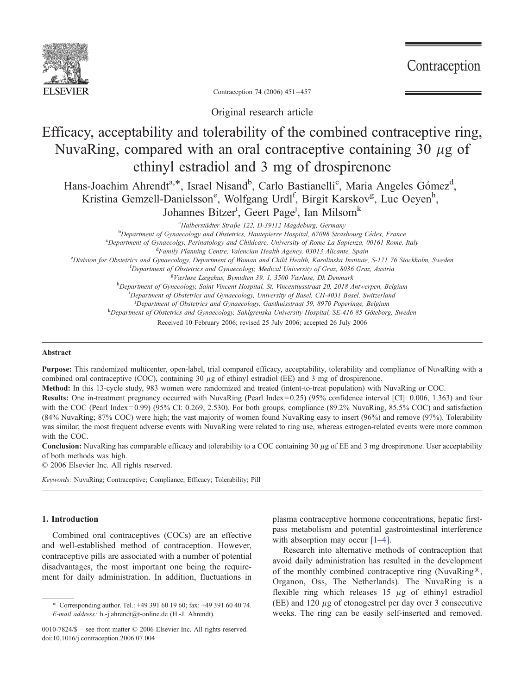

Contraception

Contraception 74 (2006) 451 – 457

Original research article

# Efficacy, acceptability and tolerability of the combined contraceptive ring, NuvaRing, compared with an oral contraceptive containing 30  $\mu$ g of ethinyl estradiol and 3 mg of drospirenone

Hans-Joachim Ahrendt<sup>a,\*</sup>, Israel Nisand<sup>b</sup>, Carlo Bastianelli<sup>c</sup>, Maria Angeles Gómez<sup>d</sup>, Kristina Gemzell-Danielsson<sup>e</sup>, Wolfgang Urdl<sup>f</sup>, Birgit Karskov<sup>g</sup>, Luc Oeyen<sup>h</sup>, Johannes Bitzer<sup>i</sup>, Geert Page<sup>j</sup>, Ian Milsom<sup>k</sup>

> <sup>a</sup>Halberstädter Straße 122, D-39112 Magdeburg, Germany <sup>a</sup>Halberstädter Straße 122, D-39112 Magdeburg, Germany<br><sup>b</sup>Department of Gynaecology and Obstatries, Hautepierre Hospital, 67008 Strag

 ${}^{b}$ Department of Gynaecology and Obstetrics, Hautepierre Hospital, 67098 Strasbourg Cédex, France contracted contracted contracted contracted contracted contracted contracted contracted contracted contracted contracted

<sup>c</sup>Department of Gynaecolgy, Perinatology and Childcare, University of Rome La Sapienza, 00161 Rome, Italy

<sup>d</sup>Family Planning Centre, Valencian Health Agency, 03013 Alicante, Spain

<sup>e</sup> Division for Obstetrics and Gynaecology, Department of Woman and Child Health, Karolinska Institute, S-171 76 Stockholm, Sweden for Obstetrica and Gymaecology, Department of Owners and Gymaecology, Medical University o

 ${}^{\text{f}}$ Department of Obstetrics and Gynaecology, Medical University of Graz, 8036 Graz, Austria  ${}^{\text{g}}$ Værløse Lægehus, Bymidten 39, 1, 3500 Værløse, Dk Denmark

<sup>8</sup>Værløse Lægehus, Bymidten 39, 1, 3500 Værløse, Dk Denmark<br><sup>h</sup>Department of Gynecology, Saint Vincent Hospital, St. Vincentiusstraat 20, 2018 Antwerpen, Belgium

<sup>i</sup>Department of Obstetrics and Gynaecology, University of Basel, CH-4031 Basel, Switzerland

<sup>j</sup>Department of Obstetrics and Gynaecology, Gasthuisstraat 59, 8970 Poperinge, Belgium<br><sup>k</sup>Department of Obstetries and Gynaecology, Saklaranska University Hospital, SE 416, 85 Göteborg

<sup>k</sup>Department of Obstetrics and Gynaecology, Sahlgrenska University Hospital, SE-416 85 Göteborg, Sweden

Received 10 February 2006; revised 25 July 2006; accepted 26 July 2006

## Abstract

Purpose: This randomized multicenter, open-label, trial compared efficacy, acceptability, tolerability and compliance of NuvaRing with a combined oral contraceptive (COC), containing 30  $\mu$ g of ethinyl estradiol (EE) and 3 mg of drospirenone.

Method: In this 13-cycle study, 983 women were randomized and treated (intent-to-treat population) with NuvaRing or COC.

Results: One in-treatment pregnancy occurred with NuvaRing (Pearl Index= 0.25) (95% confidence interval [CI]: 0.006, 1.363) and four with the COC (Pearl Index=0.99) (95% CI: 0.269, 2.530). For both groups, compliance (89.2% NuvaRing, 85.5% COC) and satisfaction (84% NuvaRing; 87% COC) were high; the vast majority of women found NuvaRing easy to insert (96%) and remove (97%). Tolerability was similar; the most frequent adverse events with NuvaRing were related to ring use, whereas estrogen-related events were more common with the COC.

**Conclusion:** NuvaRing has comparable efficacy and tolerability to a COC containing 30  $\mu$ g of EE and 3 mg drospirenone. User acceptability of both methods was high.

 $© 2006 Elsevier Inc. All rights reserved.$ 

Keywords: NuvaRing; Contraceptive; Compliance; Efficacy; Tolerability; Pill

# 1. Introduction

Combined oral contraceptives (COCs) are an effective and well-established method of contraception. However, contraceptive pills are associated with a number of potential disadvantages, the most important one being the requirement for daily administration. In addition, fluctuations in

plasma contraceptive hormone concentrations, hepatic firstpass metabolism and potential gastrointestinal interference with absorption may occur [\[1–4\].](#page-6-0)

Research into alternative methods of contraception that avoid daily administration has resulted in the development of the monthly combined contraceptive ring (NuvaRing<sup>®</sup>, Organon, Oss, The Netherlands). The NuvaRing is a flexible ring which releases  $15 \mu$ g of ethinyl estradiol (EE) and 120  $\mu$ g of etonogestrel per day over 3 consecutive weeks. The ring can be easily self-inserted and removed.

<sup>4</sup> Corresponding author. Tel.: +49 391 60 19 60; fax: +49 391 60 40 74. E-mail address: h.-j.ahrendt@t-online.de (H.-J. Ahrendt).

<sup>0010-7824/\$ –</sup> see front matter  $\odot$  2006 Elsevier Inc. All rights reserved. doi:10.1016/j.contraception.2006.07.004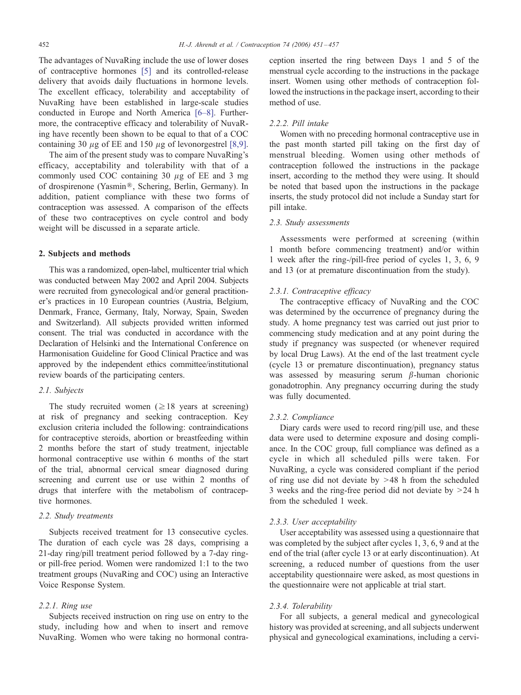The advantages of NuvaRing [inc](#page-6-0)lude the use of lower doses of contraceptive hormones [5] and its controlled-release delivery that avoids daily fluctuations in hormone levels. The excellent efficacy, tolerability and acceptability of NuvaRing have been established in larg[e-scale](#page-6-0) studies conducted in Europe and North America [6–8]. Furthermore, the contraceptive efficacy and tolerability of NuvaRing have recently been shown to be equal to that of a [COC](#page-6-0) containing 30  $\mu$ g of EE and 150  $\mu$ g of levonorgestrel [8,9].

The aim of the present study was to compare NuvaRing's efficacy, acceptability and tolerability with that of a commonly used COC containing  $30 \mu$ g of EE and 3 mg of drospirenone (Yasmin®, Schering, Berlin, Germany). In addition, patient compliance with these two forms of contraception was assessed. A comparison of the effects of these two contraceptives on cycle control and body weight will be discussed in a separate article.

# 2. Subjects and methods

This was a randomized, open-label, multicenter trial which was conducted between May 2002 and April 2004. Subjects were recruited from gynecological and/or general practitioner's practices in 10 European countries (Austria, Belgium, Denmark, France, Germany, Italy, Norway, Spain, Sweden and Switzerland). All subjects provided written informed consent. The trial was conducted in accordance with the Declaration of Helsinki and the International Conference on Harmonisation Guideline for Good Clinical Practice and was approved by the independent ethics committee/institutional review boards of the participating centers.

## 2.1. Subjects

The study recruited women  $(\geq 18$  years at screening) at risk of pregnancy and seeking contraception. Key exclusion criteria included the following: contraindications for contraceptive steroids, abortion or breastfeeding within 2 months before the start of study treatment, injectable hormonal contraceptive use within 6 months of the start of the trial, abnormal cervical smear diagnosed during screening and current use or use within 2 months of drugs that interfere with the metabolism of contraceptive hormones.

## 2.2. Study treatments

Subjects received treatment for 13 consecutive cycles. The duration of each cycle was 28 days, comprising a 21-day ring/pill treatment period followed by a 7-day ringor pill-free period. Women were randomized 1:1 to the two treatment groups (NuvaRing and COC) using an Interactive Voice Response System.

#### 2.2.1. Ring use

Subjects received instruction on ring use on entry to the study, including how and when to insert and remove NuvaRing. Women who were taking no hormonal contraception inserted the ring between Days 1 and 5 of the menstrual cycle according to the instructions in the package insert. Women using other methods of contraception followed the instructions in the package insert, according to their method of use.

#### 2.2.2. Pill intake

Women with no preceding hormonal contraceptive use in the past month started pill taking on the first day of menstrual bleeding. Women using other methods of contraception followed the instructions in the package insert, according to the method they were using. It should be noted that based upon the instructions in the package inserts, the study protocol did not include a Sunday start for pill intake.

# 2.3. Study assessments

Assessments were performed at screening (within 1 month before commencing treatment) and/or within 1 week after the ring-/pill-free period of cycles 1, 3, 6, 9 and 13 (or at premature discontinuation from the study).

## 2.3.1. Contraceptive efficacy

The contraceptive efficacy of NuvaRing and the COC was determined by the occurrence of pregnancy during the study. A home pregnancy test was carried out just prior to commencing study medication and at any point during the study if pregnancy was suspected (or whenever required by local Drug Laws). At the end of the last treatment cycle (cycle 13 or premature discontinuation), pregnancy status was assessed by measuring serum  $\beta$ -human chorionic gonadotrophin. Any pregnancy occurring during the study was fully documented.

## 2.3.2. Compliance

Diary cards were used to record ring/pill use, and these data were used to determine exposure and dosing compliance. In the COC group, full compliance was defined as a cycle in which all scheduled pills were taken. For NuvaRing, a cycle was considered compliant if the period of ring use did not deviate by  $>48$  h from the scheduled 3 weeks and the ring-free period did not deviate by  $>24$  h from the scheduled 1 week.

#### 2.3.3. User acceptability

User acceptability was assessed using a questionnaire that was completed by the subject after cycles 1, 3, 6, 9 and at the end of the trial (after cycle 13 or at early discontinuation). At screening, a reduced number of questions from the user acceptability questionnaire were asked, as most questions in the questionnaire were not applicable at trial start.

## 2.3.4. Tolerability

For all subjects, a general medical and gynecological history was provided at screening, and all subjects underwent physical and gynecological examinations, including a cervi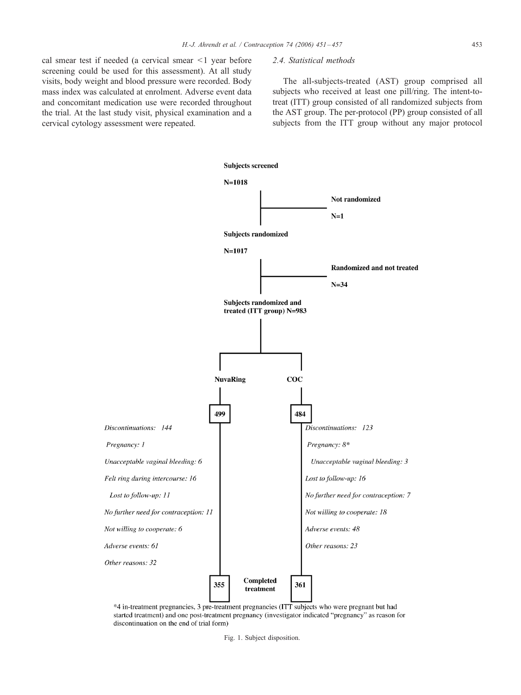<span id="page-2-0"></span>cal smear test if needed (a cervical smear  $\leq 1$  year before screening could be used for this assessment). At all study visits, body weight and blood pressure were recorded. Body mass index was calculated at enrolment. Adverse event data and concomitant medication use were recorded throughout the trial. At the last study visit, physical examination and a cervical cytology assessment were repeated.

## 2.4. Statistical methods

The all-subjects-treated (AST) group comprised all subjects who received at least one pill/ring. The intent-totreat (ITT) group consisted of all randomized subjects from the AST group. The per-protocol (PP) group consisted of all subjects from the ITT group without any major protocol



<sup>\*4</sup> in-treatment pregnancies, 3 pre-treatment pregnancies (ITT subjects who were pregnant but had started treatment) and one post-treatment pregnancy (investigator indicated "pregnancy" as reason for discontinuation on the end of trial form)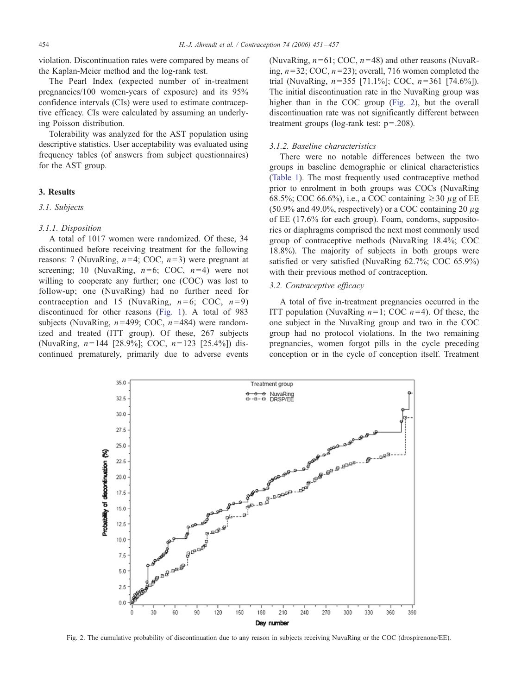violation. Discontinuation rates were compared by means of the Kaplan-Meier method and the log-rank test.

The Pearl Index (expected number of in-treatment pregnancies/100 women-years of exposure) and its 95% confidence intervals (CIs) were used to estimate contraceptive efficacy. CIs were calculated by assuming an underlying Poisson distribution.

Tolerability was analyzed for the AST population using descriptive statistics. User acceptability was evaluated using frequency tables (of answers from subject questionnaires) for the AST group.

# 3. Results

#### 3.1. Subjects

#### 3.1.1. Disposition

A total of 1017 women were randomized. Of these, 34 discontinued before receiving treatment for the following reasons: 7 (NuvaRing,  $n=4$ ; COC,  $n=3$ ) were pregnant at screening; 10 (NuvaRing,  $n=6$ ; COC,  $n=4$ ) were not willing to cooperate any further; one (COC) was lost to follow-up; one (NuvaRing) had no further need for contraception and 15 (NuvaRing,  $n=6$ ; COC,  $n=9$ ) discontinued for other reasons ([Fig.](#page-2-0) [1\)](#page-2-0). A total of 983 subjects (NuvaRing,  $n=499$ ; COC,  $n=484$ ) were randomized and treated (ITT group). Of these, 267 subjects (NuvaRing,  $n = 144$  [28.9%]; COC,  $n = 123$  [25.4%]) discontinued prematurely, primarily due to adverse events

(NuvaRing,  $n=61$ ; COC,  $n=48$ ) and other reasons (NuvaRing,  $n=32$ ; COC,  $n=23$ ); overall, 716 women completed the trial (NuvaRing,  $n = 355$  [71.1%]; COC,  $n = 361$  [74.6%]). The initial discontinuation rate in the NuvaRing group was higher than in the COC group (Fig. 2), but the overall discontinuation rate was not significantly different between treatment groups (log-rank test: p=.208).

#### 3.1.2. Baseline characteristics

There were no notable differences between the two [groups in](#page-4-0) baseline demographic or clinical characteristics (Table 1). The most frequently used contraceptive method prior to enrolment in both groups was COCs (NuvaRing 68.5%; COC 66.6%), i.e., a COC containing  $\geq$  30  $\mu$ g of EE (50.9% and 49.0%, respectively) or a COC containing 20  $\mu$ g of EE (17.6% for each group). Foam, condoms, suppositories or diaphragms comprised the next most commonly used group of contraceptive methods (NuvaRing 18.4%; COC 18.8%). The majority of subjects in both groups were satisfied or very satisfied (NuvaRing 62.7%; COC 65.9%) with their previous method of contraception.

# 3.2. Contraceptive efficacy

A total of five in-treatment pregnancies occurred in the ITT population (NuvaRing  $n=1$ ; COC  $n=4$ ). Of these, the one subject in the NuvaRing group and two in the COC group had no protocol violations. In the two remaining pregnancies, women forgot pills in the cycle preceding conception or in the cycle of conception itself. Treatment



Fig. 2. The cumulative probability of discontinuation due to any reason in subjects receiving NuvaRing or the COC (drospirenone/EE).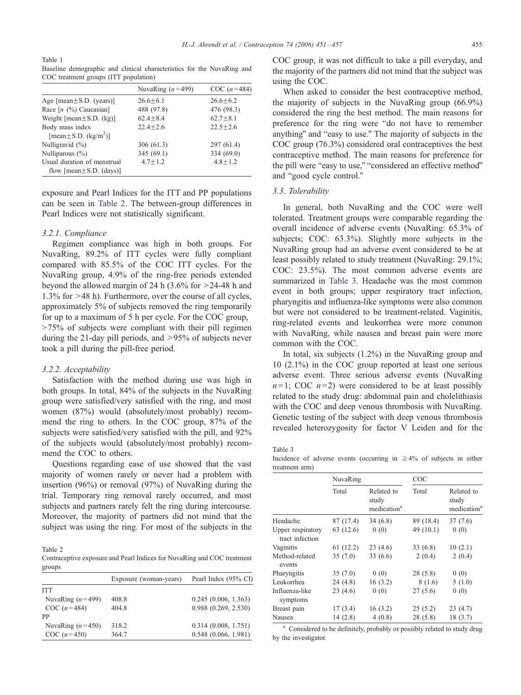<span id="page-4-0"></span>Table 1 Baseline demographic and clinical characteristics for the NuvaRing and COC treatment groups (ITT population)

|                                                              | NuvaRing $(n=499)$ | $COC(n=484)$ |
|--------------------------------------------------------------|--------------------|--------------|
| Age [ $mean \pm S.D.$ (years)]                               | $26.6 + 6.1$       | $26.6 + 6.2$ |
| Race $[n \ (\%)$ Caucasian]                                  | 488 (97.8)         | 476 (98.3)   |
| Weight [ $mean \pm S.D. (kg)$ ]                              | $62.4 + 8.4$       | $62.7 + 8.1$ |
| Body mass index<br>[mean $\pm$ S.D. (kg/m <sup>2</sup> )]    | $22.4 + 2.6$       | $22.5 + 2.6$ |
| Nulligravid $(\%)$                                           | 306(61.3)          | 297 (61.4)   |
| Nulliparous $(\%)$                                           | 345 $(69.1)$       | 334 (69.0)   |
| Usual duration of menstrual<br>flow $[mean \pm S.D. (days)]$ | $4.7 + 1.2$        | $4.8 + 1.2$  |

exposure and Pearl Indices for the ITT and PP populations can be seen in Table 2. The between-group differences in Pearl Indices were not statistically significant.

#### 3.2.1. Compliance

Regimen compliance was high in both groups. For NuvaRing, 89.2% of ITT cycles were fully compliant compared with 85.5% of the COC ITT cycles. For the NuvaRing group, 4.9% of the ring-free periods extended beyond the allowed margin of 24 h  $(3.6\%$  for  $>24-48$  h and  $1.3\%$  for  $>48$  h). Furthermore, over the course of all cycles, approximately 5% of subjects removed the ring temporarily for up to a maximum of 5 h per cycle. For the COC group,  $>75\%$  of subjects were compliant with their pill regimen during the 21-day pill periods, and  $>95%$  of subjects never took a pill during the pill-free period.

#### 3.2.2. Acceptability

Satisfaction with the method during use was high in both groups. In total, 84% of the subjects in the NuvaRing group were satisfied/very satisfied with the ring, and most women (87%) would (absolutely/most probably) recommend the ring to others. In the COC group, 87% of the subjects were satisfied/very satisfied with the pill, and 92% of the subjects would (absolutely/most probably) recommend the COC to others.

Questions regarding ease of use showed that the vast majority of women rarely or never had a problem with insertion (96%) or removal (97%) of NuvaRing during the trial. Temporary ring removal rarely occurred, and most subjects and partners rarely felt the ring during intercourse. Moreover, the majority of partners did not mind that the subject was using the ring. For most of the subjects in the

Table 2

Contraceptive exposure and Pearl Indices for NuvaRing and COC treatment groups

| Exposure (woman-years) |       | Pearl Index (95% CI) |  |
|------------------------|-------|----------------------|--|
| <b>ITT</b>             |       |                      |  |
| NuvaRing $(n=499)$     | 408.8 | 0.245(0.006, 1.363)  |  |
| $COC(n=484)$           | 404.8 | 0.988(0.269, 2.530)  |  |
| <b>PP</b>              |       |                      |  |
| NuvaRing $(n=450)$     | 318.2 | 0.314(0.008, 1.751)  |  |
| $COC(n=450)$           | 364.7 | 0.548(0.066, 1.981)  |  |

COC group, it was not difficult to take a pill everyday, and the majority of the partners did not mind that the subject was using the COC.

When asked to consider the best contraceptive method, the majority of subjects in the NuvaRing group (66.9%) considered the ring the best method. The main reasons for preference for the ring were "do not have to remember anything" and "easy to use." The majority of subjects in the COC group (76.3%) considered oral contraceptives the best contraceptive method. The main reasons for preference for the pill were "easy to use," "considered an effective method" and "good cycle control."

## 3.3. Tolerability

In general, both NuvaRing and the COC were well tolerated. Treatment groups were comparable regarding the overall incidence of adverse events (NuvaRing: 65.3% of subjects; COC: 63.3%). Slightly more subjects in the NuvaRing group had an adverse event considered to be at least possibly related to study treatment (NuvaRing: 29.1%; COC: 23.5%). The most common adverse events are summarized in Table 3. Headache was the most common event in both groups; upper respiratory tract infection, pharyngitis and influenza-like symptoms were also common but were not considered to be treatment-related. Vaginitis, ring-related events and leukorrhea were more common with NuvaRing, while nausea and breast pain were more common with the COC.

In total, six subjects (1.2%) in the NuvaRing group and 10 (2.1%) in the COC group reported at least one serious adverse event. Three serious adverse events (NuvaRing  $n=1$ ; COC  $n=2$ ) were considered to be at least possibly related to the study drug: abdominal pain and cholelithiasis with the COC and deep venous thrombosis with NuvaRing. Genetic testing of the subject with deep venous thrombosis revealed heterozygosity for factor V Leiden and for the

Table 3

Incidence of adverse events (occurring in  $\geq 4\%$  of subjects in either treatment arm)

|                                      | NuvaRing  |                                                | COC         |                                                |
|--------------------------------------|-----------|------------------------------------------------|-------------|------------------------------------------------|
|                                      | Total     | Related to<br>study<br>medication <sup>a</sup> | Total       | Related to<br>study<br>medication <sup>a</sup> |
| Headache                             | 87 (17.4) | 34(6.8)                                        | 89 (18.4)   | 37(7.6)                                        |
| Upper respiratory<br>tract infection | 63 (12.6) | 0(0)                                           | 49 $(10.1)$ | 0(0)                                           |
| Vaginitis                            | 61 (12.2) | 23(4.6)                                        | 33(6.8)     | 10(2.1)                                        |
| Method-related<br>events             | 35(7.0)   | 33(6.6)                                        | 2(0.4)      | 2(0.4)                                         |
| Pharyngitis                          | 35(7.0)   | 0(0)                                           | 28(5.8)     | 0(0)                                           |
| Leukorrhea                           | 24(4.8)   | 16(3.2)                                        | 8(1.6)      | 5(1.0)                                         |
| Influenza-like<br>symptoms           | 23(4.6)   | 0(0)                                           | 27(5.6)     | 0(0)                                           |
| Breast pain                          | 17(3.4)   | 16(3.2)                                        | 25(5.2)     | 23(4.7)                                        |
| Nausea                               | 14(2.8)   | 4(0.8)                                         | 28(5.8)     | 18 (3.7)                                       |

<sup>a</sup> Considered to be definitely, probably or possibly related to study drug by the investigator.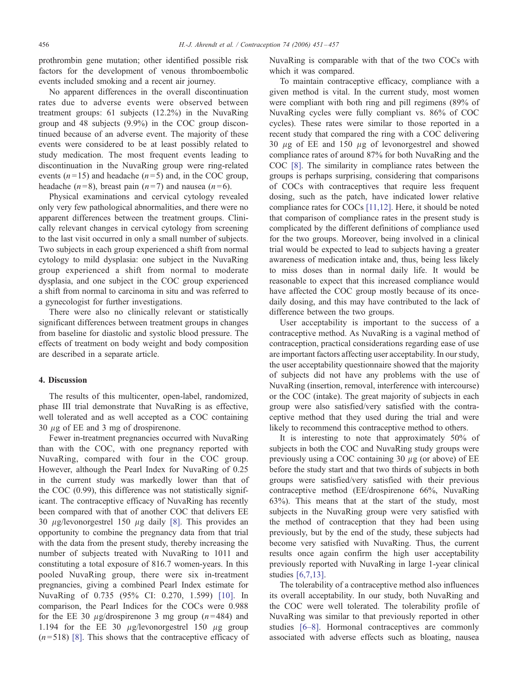prothrombin gene mutation; other identified possible risk factors for the development of venous thromboembolic events included smoking and a recent air journey.

No apparent differences in the overall discontinuation rates due to adverse events were observed between treatment groups: 61 subjects (12.2%) in the NuvaRing group and 48 subjects (9.9%) in the COC group discontinued because of an adverse event. The majority of these events were considered to be at least possibly related to study medication. The most frequent events leading to discontinuation in the NuvaRing group were ring-related events ( $n=15$ ) and headache ( $n=5$ ) and, in the COC group, headache (n=8), breast pain (n=7) and nausea (n=6).

Physical examinations and cervical cytology revealed only very few pathological abnormalities, and there were no apparent differences between the treatment groups. Clinically relevant changes in cervical cytology from screening to the last visit occurred in only a small number of subjects. Two subjects in each group experienced a shift from normal cytology to mild dysplasia: one subject in the NuvaRing group experienced a shift from normal to moderate dysplasia, and one subject in the COC group experienced a shift from normal to carcinoma in situ and was referred to a gynecologist for further investigations.

There were also no clinically relevant or statistically significant differences between treatment groups in changes from baseline for diastolic and systolic blood pressure. The effects of treatment on body weight and body composition are described in a separate article.

## 4. Discussion

The results of this multicenter, open-label, randomized, phase III trial demonstrate that NuvaRing is as effective, well tolerated and as well accepted as a COC containing 30  $\mu$ g of EE and 3 mg of drospirenone.

Fewer in-treatment pregnancies occurred with NuvaRing than with the COC, with one pregnancy reported with NuvaRing, compared with four in the COC group. However, although the Pearl Index for NuvaRing of 0.25 in the current study was markedly lower than that of the COC (0.99), this difference was not statistically significant. The contraceptive efficacy of NuvaRing has recently been compared with that of another COC that delivers EE 30  $\mu$ g/levonorgestrel 150  $\mu$ g daily [\[8\].](#page-6-0) This provides an opportunity to combine the pregnancy data from that trial with the data from the present study, thereby increasing the number of subjects treated with NuvaRing to 1011 and constituting a total exposure of 816.7 women-years. In this pooled NuvaRing group, there were six in-treatment pregnancies, giving a combined Pearl Index estimate for NuvaRing of 0.735 (95% CI: 0.270, 1.599) [\[10\].](#page-6-0) In comparison, the Pearl Indices for the COCs were 0.988 for the EE 30  $\mu$ g/drospirenone 3 mg group (n=484) and 1.194 for the EE 30  $\mu$ g/levonorgestrel 150  $\mu$ g group  $(n=518)$  [\[8\].](#page-6-0) This shows that the contraceptive efficacy of NuvaRing is comparable with that of the two COCs with which it was compared.

To maintain contraceptive efficacy, compliance with a given method is vital. In the current study, most women were compliant with both ring and pill regimens (89% of NuvaRing cycles were fully compliant vs. 86% of COC cycles). These rates were similar to those reported in a recent study that compared the ring with a COC delivering 30  $\mu$ g of EE and 150  $\mu$ g of levonorgestrel and showed compl[ianc](#page-6-0)e rates of around 87% for both NuvaRing and the COC [8]. The similarity in compliance rates between the groups is perhaps surprising, considering that comparisons of COCs with contraceptives that require less frequent dosing, such as the patch, have indicated lower relative compliance rates for COCs [\[11,12\].](#page-6-0) Here, it should be noted that comparison of compliance rates in the present study is complicated by the different definitions of compliance used for the two groups. Moreover, being involved in a clinical trial would be expected to lead to subjects having a greater awareness of medication intake and, thus, being less likely to miss doses than in normal daily life. It would be reasonable to expect that this increased compliance would have affected the COC group mostly because of its oncedaily dosing, and this may have contributed to the lack of difference between the two groups.

User acceptability is important to the success of a contraceptive method. As NuvaRing is a vaginal method of contraception, practical considerations regarding ease of use are important factors affecting user acceptability. In our study, the user acceptability questionnaire showed that the majority of subjects did not have any problems with the use of NuvaRing (insertion, removal, interference with intercourse) or the COC (intake). The great majority of subjects in each group were also satisfied/very satisfied with the contraceptive method that they used during the trial and were likely to recommend this contraceptive method to others.

It is interesting to note that approximately 50% of subjects in both the COC and NuvaRing study groups were previously using a COC containing 30  $\mu$ g (or above) of EE before the study start and that two thirds of subjects in both groups were satisfied/very satisfied with their previous contraceptive method (EE/drospirenone 66%, NuvaRing 63%). This means that at the start of the study, most subjects in the NuvaRing group were very satisfied with the method of contraception that they had been using previously, but by the end of the study, these subjects had become very satisfied with NuvaRing. Thus, the current results once again confirm the high user acceptability previously reported with NuvaRing in large 1-year clinical studies [\[6,7,13\].](#page-6-0)

The tolerability of a contraceptive method also influences its overall acceptability. In our study, both NuvaRing and the COC were well tolerated. The tolerability profile of NuvaRing was similar to that previously reported in other studies [\[6–8\].](#page-6-0) Hormonal contraceptives are commonly associated with adverse effects such as bloating, nausea